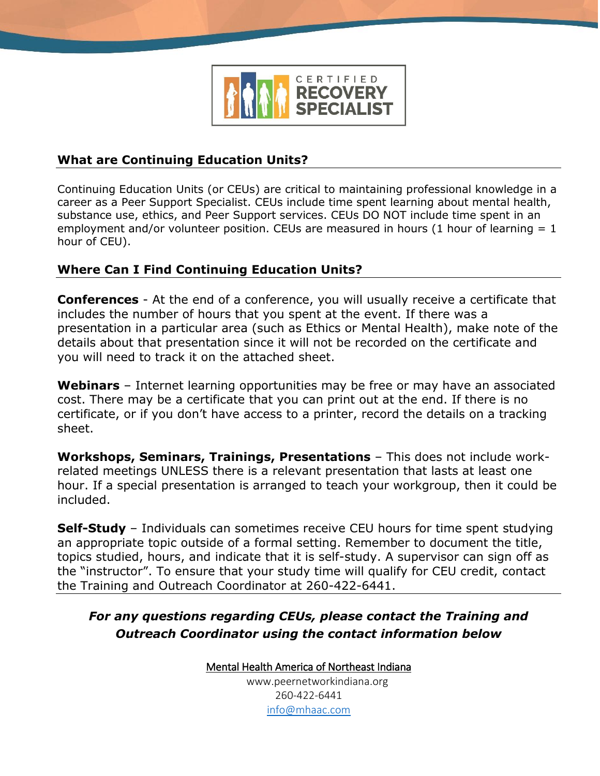

## **What are Continuing Education Units?**

Continuing Education Units (or CEUs) are critical to maintaining professional knowledge in a career as a Peer Support Specialist. CEUs include time spent learning about mental health, substance use, ethics, and Peer Support services. CEUs DO NOT include time spent in an employment and/or volunteer position. CEUs are measured in hours (1 hour of learning  $= 1$ hour of CEU).

## **Where Can I Find Continuing Education Units?**

**Conferences** - At the end of a conference, you will usually receive a certificate that includes the number of hours that you spent at the event. If there was a presentation in a particular area (such as Ethics or Mental Health), make note of the details about that presentation since it will not be recorded on the certificate and you will need to track it on the attached sheet.

**Webinars** – Internet learning opportunities may be free or may have an associated cost. There may be a certificate that you can print out at the end. If there is no certificate, or if you don't have access to a printer, record the details on a tracking sheet.

**Workshops, Seminars, Trainings, Presentations** – This does not include workrelated meetings UNLESS there is a relevant presentation that lasts at least one hour. If a special presentation is arranged to teach your workgroup, then it could be included.

**Self-Study** – Individuals can sometimes receive CEU hours for time spent studying an appropriate topic outside of a formal setting. Remember to document the title, topics studied, hours, and indicate that it is self-study. A supervisor can sign off as the "instructor". To ensure that your study time will qualify for CEU credit, contact the Training and Outreach Coordinator at 260-422-6441.

## *For any questions regarding CEUs, please contact the Training and Outreach Coordinator using the contact information below*

Mental Health America of Northeast Indiana [www.peernetworkindiana.org](http://www.peernetworkindiana.org/) 260-422-6441

[info@mhaac.com](mailto:info@mhaac.com)